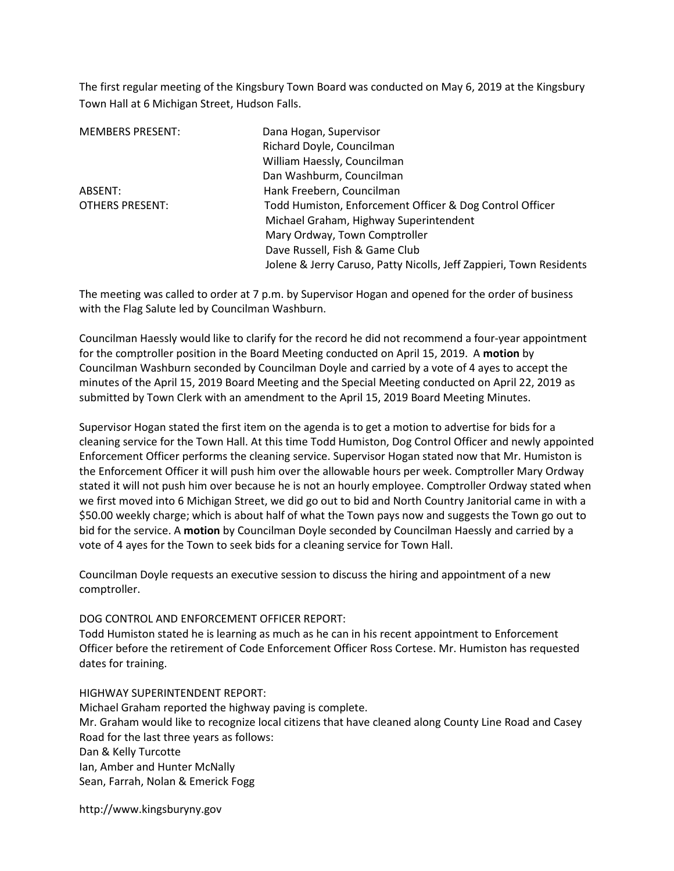The first regular meeting of the Kingsbury Town Board was conducted on May 6, 2019 at the Kingsbury Town Hall at 6 Michigan Street, Hudson Falls.

| <b>MEMBERS PRESENT:</b> | Dana Hogan, Supervisor                                              |
|-------------------------|---------------------------------------------------------------------|
|                         | Richard Doyle, Councilman                                           |
|                         | William Haessly, Councilman                                         |
|                         | Dan Washburm, Councilman                                            |
| ABSENT:                 | Hank Freebern, Councilman                                           |
| <b>OTHERS PRESENT:</b>  | Todd Humiston, Enforcement Officer & Dog Control Officer            |
|                         | Michael Graham, Highway Superintendent                              |
|                         | Mary Ordway, Town Comptroller                                       |
|                         | Dave Russell, Fish & Game Club                                      |
|                         | Jolene & Jerry Caruso, Patty Nicolls, Jeff Zappieri, Town Residents |

The meeting was called to order at 7 p.m. by Supervisor Hogan and opened for the order of business with the Flag Salute led by Councilman Washburn.

Councilman Haessly would like to clarify for the record he did not recommend a four-year appointment for the comptroller position in the Board Meeting conducted on April 15, 2019. A motion by Councilman Washburn seconded by Councilman Doyle and carried by a vote of 4 ayes to accept the minutes of the April 15, 2019 Board Meeting and the Special Meeting conducted on April 22, 2019 as submitted by Town Clerk with an amendment to the April 15, 2019 Board Meeting Minutes.

Supervisor Hogan stated the first item on the agenda is to get a motion to advertise for bids for a cleaning service for the Town Hall. At this time Todd Humiston, Dog Control Officer and newly appointed Enforcement Officer performs the cleaning service. Supervisor Hogan stated now that Mr. Humiston is the Enforcement Officer it will push him over the allowable hours per week. Comptroller Mary Ordway stated it will not push him over because he is not an hourly employee. Comptroller Ordway stated when we first moved into 6 Michigan Street, we did go out to bid and North Country Janitorial came in with a \$50.00 weekly charge; which is about half of what the Town pays now and suggests the Town go out to bid for the service. A motion by Councilman Doyle seconded by Councilman Haessly and carried by a vote of 4 ayes for the Town to seek bids for a cleaning service for Town Hall.

Councilman Doyle requests an executive session to discuss the hiring and appointment of a new comptroller.

## DOG CONTROL AND ENFORCEMENT OFFICER REPORT:

Todd Humiston stated he is learning as much as he can in his recent appointment to Enforcement Officer before the retirement of Code Enforcement Officer Ross Cortese. Mr. Humiston has requested dates for training.

## HIGHWAY SUPERINTENDENT REPORT:

Michael Graham reported the highway paving is complete. Mr. Graham would like to recognize local citizens that have cleaned along County Line Road and Casey Road for the last three years as follows: Dan & Kelly Turcotte Ian, Amber and Hunter McNally Sean, Farrah, Nolan & Emerick Fogg

http://www.kingsburyny.gov